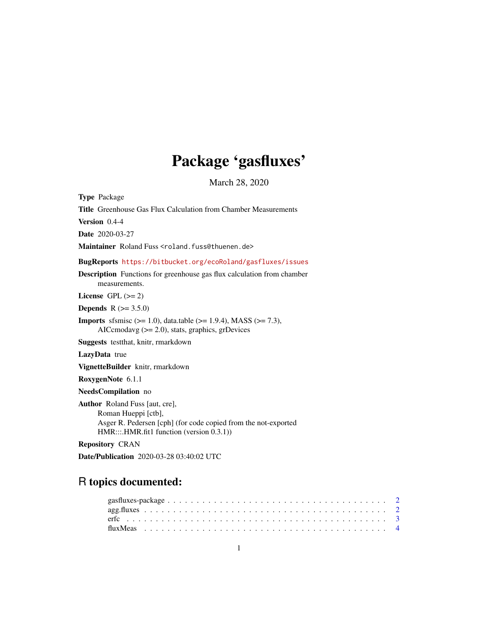## Package 'gasfluxes'

March 28, 2020

<span id="page-0-0"></span>Type Package Title Greenhouse Gas Flux Calculation from Chamber Measurements Version 0.4-4 Date 2020-03-27 Maintainer Roland Fuss <roland.fuss@thuenen.de> BugReports <https://bitbucket.org/ecoRoland/gasfluxes/issues> Description Functions for greenhouse gas flux calculation from chamber measurements. License GPL  $(>= 2)$ **Depends**  $R (= 3.5.0)$ **Imports** sfsmisc  $(>= 1.0)$ , data.table  $(>= 1.9.4)$ , MASS  $(>= 7.3)$ , AICcmodavg (>= 2.0), stats, graphics, grDevices Suggests testthat, knitr, rmarkdown LazyData true VignetteBuilder knitr, rmarkdown RoxygenNote 6.1.1 NeedsCompilation no Author Roland Fuss [aut, cre], Roman Hueppi [ctb], Asger R. Pedersen [cph] (for code copied from the not-exported HMR:::.HMR.fit1 function (version 0.3.1))

Repository CRAN

Date/Publication 2020-03-28 03:40:02 UTC

### R topics documented: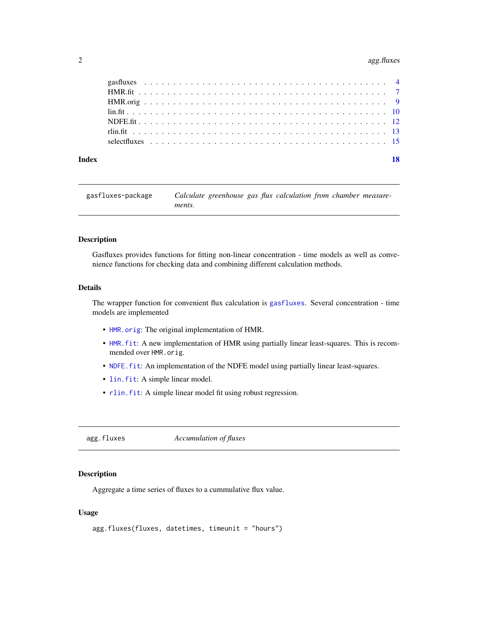#### <span id="page-1-0"></span>2 agg.fluxes

| Index |  |  |  |  |  |  |  |  |  |  |  |  |  |  |  |  |  |  | <b>18</b> |
|-------|--|--|--|--|--|--|--|--|--|--|--|--|--|--|--|--|--|--|-----------|
|       |  |  |  |  |  |  |  |  |  |  |  |  |  |  |  |  |  |  |           |
|       |  |  |  |  |  |  |  |  |  |  |  |  |  |  |  |  |  |  |           |
|       |  |  |  |  |  |  |  |  |  |  |  |  |  |  |  |  |  |  |           |
|       |  |  |  |  |  |  |  |  |  |  |  |  |  |  |  |  |  |  |           |
|       |  |  |  |  |  |  |  |  |  |  |  |  |  |  |  |  |  |  |           |
|       |  |  |  |  |  |  |  |  |  |  |  |  |  |  |  |  |  |  |           |
|       |  |  |  |  |  |  |  |  |  |  |  |  |  |  |  |  |  |  |           |
|       |  |  |  |  |  |  |  |  |  |  |  |  |  |  |  |  |  |  |           |

| gasfluxes-package | Calculate greenhouse gas flux calculation from chamber measure- |
|-------------------|-----------------------------------------------------------------|
|                   | ments.                                                          |

#### Description

Gasfluxes provides functions for fitting non-linear concentration - time models as well as convenience functions for checking data and combining different calculation methods.

#### Details

The wrapper function for convenient flux calculation is [gasfluxes](#page-3-1). Several concentration - time models are implemented

- [HMR.orig](#page-8-1): The original implementation of HMR.
- [HMR.fit](#page-6-1): A new implementation of HMR using partially linear least-squares. This is recommended over HMR.orig.
- [NDFE.fit](#page-11-1): An implementation of the NDFE model using partially linear least-squares.
- [lin.fit](#page-9-1): A simple linear model.
- [rlin.fit](#page-12-1): A simple linear model fit using robust regression.

agg.fluxes *Accumulation of fluxes*

#### Description

Aggregate a time series of fluxes to a cummulative flux value.

#### Usage

```
agg.fluxes(fluxes, datetimes, timeunit = "hours")
```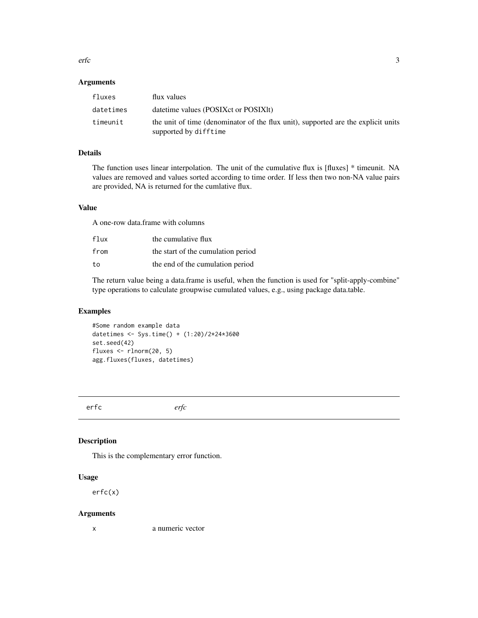<span id="page-2-0"></span>erfc 3

#### Arguments

| fluxes    | flux values                                                                                                |
|-----------|------------------------------------------------------------------------------------------------------------|
| datetimes | date time values (POSIX ct or POSIX lt)                                                                    |
| timeunit  | the unit of time (denominator of the flux unit), supported are the explicit units<br>supported by difftime |

#### Details

The function uses linear interpolation. The unit of the cumulative flux is [fluxes] \* timeunit. NA values are removed and values sorted according to time order. If less then two non-NA value pairs are provided, NA is returned for the cumlative flux.

#### Value

A one-row data.frame with columns

| flux | the cumulative flux                |
|------|------------------------------------|
| from | the start of the cumulation period |
| to   | the end of the cumulation period   |

The return value being a data.frame is useful, when the function is used for "split-apply-combine" type operations to calculate groupwise cumulated values, e.g., using package data.table.

#### Examples

#Some random example data datetimes <- Sys.time() + (1:20)/2\*24\*3600 set.seed(42) fluxes <- rlnorm(20, 5) agg.fluxes(fluxes, datetimes)

erfc *erfc*

#### Description

This is the complementary error function.

#### Usage

erfc(x)

#### Arguments

x a numeric vector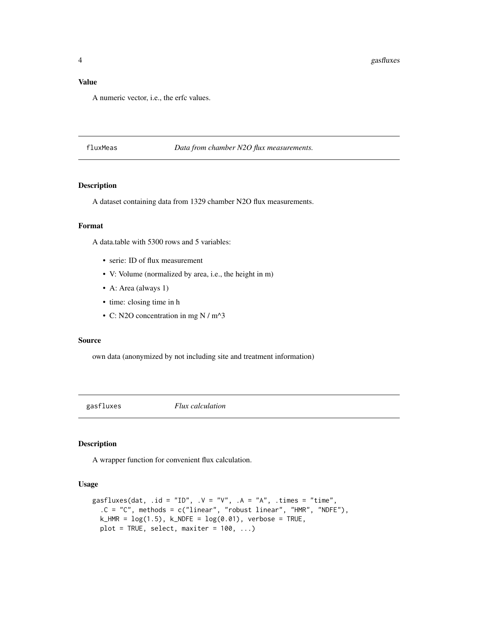<span id="page-3-0"></span>A numeric vector, i.e., the erfc values.

#### fluxMeas *Data from chamber N2O flux measurements.*

#### Description

A dataset containing data from 1329 chamber N2O flux measurements.

#### Format

A data.table with 5300 rows and 5 variables:

- serie: ID of flux measurement
- V: Volume (normalized by area, i.e., the height in m)
- A: Area (always 1)
- time: closing time in h
- C: N2O concentration in mg N / m^3

#### Source

own data (anonymized by not including site and treatment information)

<span id="page-3-1"></span>gasfluxes *Flux calculation*

#### Description

A wrapper function for convenient flux calculation.

#### Usage

```
gasfluxes(dat, .id = "ID", .V = "V", .A = "A", .times = "time",
  .C = "C", methods = c("linear", "robust linear", "HMR", "NDFE"),
 k_HMR = \log(1.5), k_NDFE = \log(0.01), verbose = TRUE,
 plot = TRUE, select, maxiter = 100, ...)
```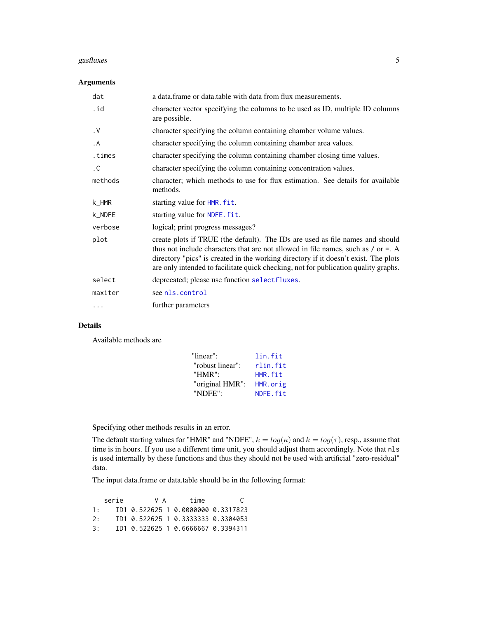#### <span id="page-4-0"></span>gasfluxes 5 and 5 and 5 and 5 and 5 and 5 and 6 and 6 and 6 and 6 and 6 and 6 and 6 and 6 and 6 and 6 and 6 and 6 and 6 and 6 and 6 and 6 and 6 and 6 and 6 and 6 and 6 and 6 and 6 and 6 and 6 and 6 and 6 and 6 and 6 and 6

#### Arguments

| dat       | a data. frame or data. table with data from flux measurements.                                                                                                                                                                                                                                                                                        |
|-----------|-------------------------------------------------------------------------------------------------------------------------------------------------------------------------------------------------------------------------------------------------------------------------------------------------------------------------------------------------------|
| .id       | character vector specifying the columns to be used as ID, multiple ID columns<br>are possible.                                                                                                                                                                                                                                                        |
| $\cdot$ V | character specifying the column containing chamber volume values.                                                                                                                                                                                                                                                                                     |
| . A       | character specifying the column containing chamber area values.                                                                                                                                                                                                                                                                                       |
| .times    | character specifying the column containing chamber closing time values.                                                                                                                                                                                                                                                                               |
| $\cdot$ C | character specifying the column containing concentration values.                                                                                                                                                                                                                                                                                      |
| methods   | character; which methods to use for flux estimation. See details for available<br>methods.                                                                                                                                                                                                                                                            |
| $k_HMR$   | starting value for HMR. fit.                                                                                                                                                                                                                                                                                                                          |
| k_NDFE    | starting value for NDFE. fit.                                                                                                                                                                                                                                                                                                                         |
| verbose   | logical; print progress messages?                                                                                                                                                                                                                                                                                                                     |
| plot      | create plots if TRUE (the default). The IDs are used as file names and should<br>thus not include characters that are not allowed in file names, such as $\ell$ or =. A<br>directory "pics" is created in the working directory if it doesn't exist. The plots<br>are only intended to facilitate quick checking, not for publication quality graphs. |
| select    | deprecated; please use function selectfluxes.                                                                                                                                                                                                                                                                                                         |
| maxiter   | see nls.control                                                                                                                                                                                                                                                                                                                                       |
| $\cdots$  | further parameters                                                                                                                                                                                                                                                                                                                                    |

#### Details

Available methods are

| "linear":        | lin.fit  |
|------------------|----------|
| "robust linear": | rlin.fit |
| "HMR":           | HMR.fit  |
| "original HMR":  | HMR.orig |
| "NDFE":          | NDFE.fit |

Specifying other methods results in an error.

The default starting values for "HMR" and "NDFE",  $k = log(\kappa)$  and  $k = log(\tau)$ , resp., assume that time is in hours. If you use a different time unit, you should adjust them accordingly. Note that nls is used internally by these functions and thus they should not be used with artificial "zero-residual" data.

The input data.frame or data.table should be in the following format:

|           | serie | V A                                | time | $\Gamma$ |
|-----------|-------|------------------------------------|------|----------|
| $1 \cdot$ |       | ID1 0.522625 1 0.0000000 0.3317823 |      |          |
| 2:        |       | ID1 0.522625 1 0.3333333 0.3304053 |      |          |
| $\cdot$   |       | ID1 0.522625 1 0.6666667 0.3394311 |      |          |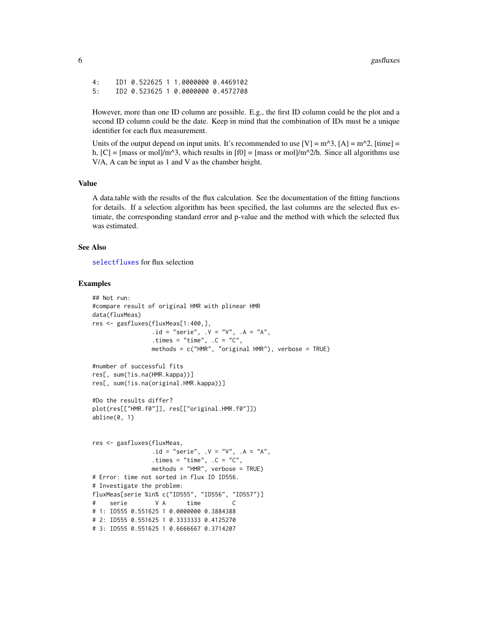<span id="page-5-0"></span>4: ID1 0.522625 1 1.0000000 0.4469102 5: ID2 0.523625 1 0.0000000 0.4572708

However, more than one ID column are possible. E.g., the first ID column could be the plot and a second ID column could be the date. Keep in mind that the combination of IDs must be a unique identifier for each flux measurement.

Units of the output depend on input units. It's recommended to use  $[V] = m^{3}$ ,  $[A] = m^{2}$ ,  $[time] =$ h,  $[C] =$  [mass or mol]/m^3, which results in  $[f0] =$  [mass or mol]/m^2/h. Since all algorithms use V/A, A can be input as 1 and V as the chamber height.

#### Value

A data.table with the results of the flux calculation. See the documentation of the fitting functions for details. If a selection algorithm has been specified, the last columns are the selected flux estimate, the corresponding standard error and p-value and the method with which the selected flux was estimated.

#### See Also

[selectfluxes](#page-14-1) for flux selection

#### Examples

```
## Not run:
#compare result of original HMR with plinear HMR
data(fluxMeas)
res <- gasfluxes(fluxMeas[1:400,],
                id = "serie", \dots V = "V", \dots A = "A",.times = "time", .C = "C",methods = c("HMR", "original HMR"), verbose = TRUE)
#number of successful fits
res[, sum(!is.na(HMR.kappa))]
res[, sum(!is.na(original.HMR.kappa))]
#Do the results differ?
plot(res[["HMR.f0"]], res[["original.HMR.f0"]])
abline(0, 1)
res <- gasfluxes(fluxMeas,
                id = "serie", \t V = "V", \t A = "A",.times = "time", .C = "C",methods = "HMR", verbose = TRUE)
# Error: time not sorted in flux ID ID556.
# Investigate the problem:
fluxMeas[serie %in% c("ID555", "ID556", "ID557")]
# serie V A time C
# 1: ID555 0.551625 1 0.0000000 0.3884388
# 2: ID555 0.551625 1 0.3333333 0.4125270
# 3: ID555 0.551625 1 0.6666667 0.3714207
```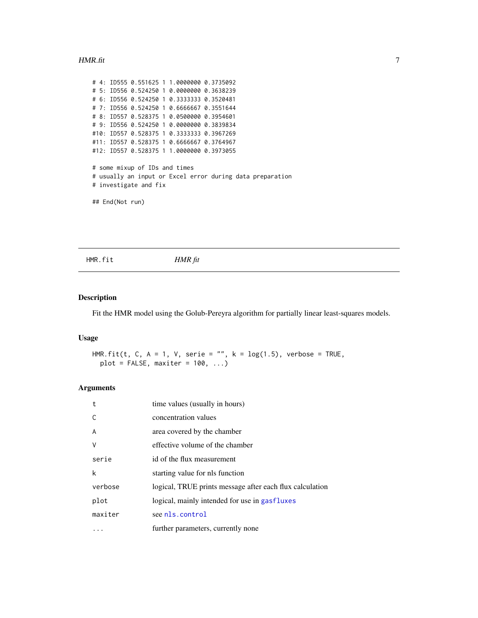#### <span id="page-6-0"></span>HMR.fit 7

```
# 4: ID555 0.551625 1 1.0000000 0.3735092
# 5: ID556 0.524250 1 0.0000000 0.3638239
# 6: ID556 0.524250 1 0.3333333 0.3520481
# 7: ID556 0.524250 1 0.6666667 0.3551644
# 8: ID557 0.528375 1 0.0500000 0.3954601
# 9: ID556 0.524250 1 0.0000000 0.3839834
#10: ID557 0.528375 1 0.3333333 0.3967269
#11: ID557 0.528375 1 0.6666667 0.3764967
#12: ID557 0.528375 1 1.0000000 0.3973055
# some mixup of IDs and times
# usually an input or Excel error during data preparation
# investigate and fix
## End(Not run)
```
<span id="page-6-1"></span>HMR.fit *HMR fit*

#### Description

Fit the HMR model using the Golub-Pereyra algorithm for partially linear least-squares models.

#### Usage

HMR.fit(t, C, A = 1, V, serie = "",  $k = log(1.5)$ , verbose = TRUE, plot = FALSE, maxiter =  $100, ...$ )

#### Arguments

| t              | time values (usually in hours)                           |
|----------------|----------------------------------------------------------|
| C              | concentration values                                     |
| $\overline{A}$ | area covered by the chamber                              |
| V              | effective volume of the chamber                          |
| serie          | id of the flux measurement                               |
| k              | starting value for nls function                          |
| verbose        | logical, TRUE prints message after each flux calculation |
| plot           | logical, mainly intended for use in gasfluxes            |
| maxiter        | see nls.control                                          |
| .              | further parameters, currently none                       |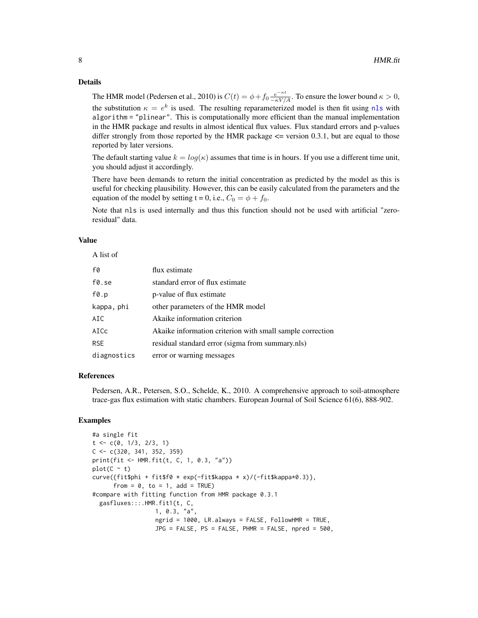#### <span id="page-7-0"></span>Details

The HMR model (Pedersen et al., 2010) is  $C(t) = \phi + f_0 \frac{e^{-\kappa t}}{-\kappa V/A}$ . To ensure the lower bound  $\kappa > 0$ , the substitution  $\kappa = e^k$  is used. The resulting reparameterized model is then fit using [nls](#page-0-0) with algorithm = "plinear". This is computationally more efficient than the manual implementation in the HMR package and results in almost identical flux values. Flux standard errors and p-values differ strongly from those reported by the HMR package  $\leq$  version 0.3.1, but are equal to those reported by later versions.

The default starting value  $k = log(\kappa)$  assumes that time is in hours. If you use a different time unit, you should adjust it accordingly.

There have been demands to return the initial concentration as predicted by the model as this is useful for checking plausibility. However, this can be easily calculated from the parameters and the equation of the model by setting t = 0, i.e.,  $C_0 = \phi + f_0$ .

Note that nls is used internally and thus this function should not be used with artificial "zeroresidual" data.

#### Value

A list of

| f0              | flux estimate                                             |
|-----------------|-----------------------------------------------------------|
| f0.se           | standard error of flux estimate                           |
| $f\emptyset$ .p | p-value of flux estimate                                  |
| kappa, phi      | other parameters of the HMR model                         |
| AIC             | Akaike information criterion                              |
| AICc            | Akaike information criterion with small sample correction |
| <b>RSE</b>      | residual standard error (sigma from summary.nls)          |
| diagnostics     | error or warning messages                                 |

#### References

Pedersen, A.R., Petersen, S.O., Schelde, K., 2010. A comprehensive approach to soil-atmosphere trace-gas flux estimation with static chambers. European Journal of Soil Science 61(6), 888-902.

#### Examples

```
#a single fit
t \leq -c(0, 1/3, 2/3, 1)C \leq C \leq C(320, 341, 352, 359)print(fit <- HMR.fit(t, C, 1, 0.3, "a"))
plot(C \sim t)curve({fit$phi + fit$f0 * exp(-fit$kappa * x)/(-fit$kappa*0.3)},
      from = 0, to = 1, add = TRUE)
#compare with fitting function from HMR package 0.3.1
 gasfluxes:::.HMR.fit1(t, C,
                  1, 0.3, "a",
                  ngrid = 1000, LR.always = FALSE, FollowHMR = TRUE,
                  JPG = FALSE, PS = FALSE, PHMR = FALSE, npred = 500,
```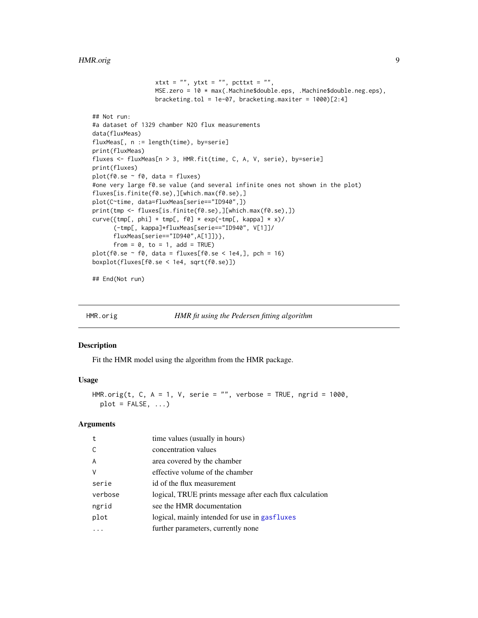```
xtxt = ", ytxt = ", pcttxt = ",
                  MSE.zero = 10 * max(.Machine$double.eps, .Machine$double.neg.eps),
                  bracketing.tol = 1e-07, bracketing.maxiter = 1000)[2:4]
## Not run:
#a dataset of 1329 chamber N2O flux measurements
data(fluxMeas)
fluxMeas[, n := length(time), by=serie]
print(fluxMeas)
fluxes <- fluxMeas[n > 3, HMR.fit(time, C, A, V, serie), by=serie]
print(fluxes)
plot( f0. se ~ f0, data = fluxes)#one very large f0.se value (and several infinite ones not shown in the plot)
fluxes[is.finite(f0.se),][which.max(f0.se),]
plot(C~time, data=fluxMeas[serie=="ID940",])
print(tmp <- fluxes[is.finite(f0.se),][which.max(f0.se),])
curve({tmp[, phi] + tmp[, f0] * exp(-tmp[, kappa] * x) /(-tmp[, kappa]*fluxMeas[serie=="ID940", V[1]]/
      fluxMeas[serie=="ID940",A[1]])},
      from = 0, to = 1, add = TRUE)
plot(f0.se ~ f0, data = fluxes[f0.se ~ 1e4,], pch = 16)boxplot(fluxes[f0.se < 1e4, sqrt(f0.se)])
## End(Not run)
```
<span id="page-8-1"></span>

HMR.orig *HMR fit using the Pedersen fitting algorithm*

#### Description

Fit the HMR model using the algorithm from the HMR package.

#### Usage

HMR.orig(t, C, A = 1, V, serie = "", verbose = TRUE, ngrid = 1000,  $plot = FALSE, ...)$ 

#### Arguments

| t              | time values (usually in hours)                           |
|----------------|----------------------------------------------------------|
| C              | concentration values                                     |
| $\overline{A}$ | area covered by the chamber                              |
| V              | effective volume of the chamber                          |
| serie          | id of the flux measurement                               |
| verbose        | logical, TRUE prints message after each flux calculation |
| ngrid          | see the HMR documentation                                |
| plot           | logical, mainly intended for use in gasfluxes            |
|                | further parameters, currently none                       |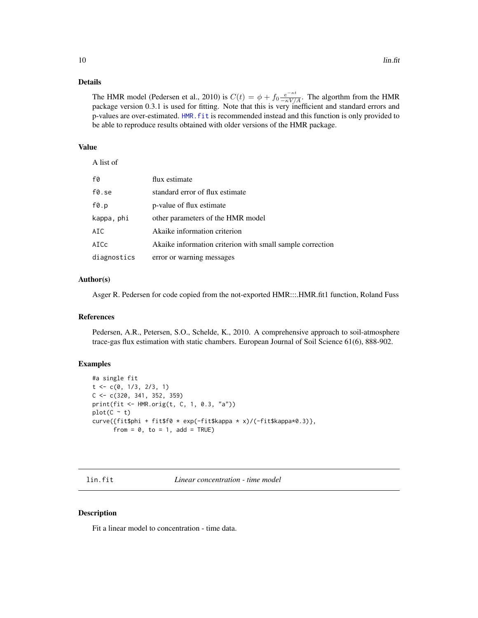#### Details

The HMR model (Pedersen et al., 2010) is  $C(t) = \phi + f_0 \frac{e^{-\kappa t}}{-\kappa V/A}$ . The algorthm from the HMR package version 0.3.1 is used for fitting. Note that this is very inefficient and standard errors and p-values are over-estimated. [HMR.fit](#page-6-1) is recommended instead and this function is only provided to be able to reproduce results obtained with older versions of the HMR package.

#### Value

A list of

| f0          | flux estimate                                             |
|-------------|-----------------------------------------------------------|
| f0.se       | standard error of flux estimate                           |
| f0.p        | p-value of flux estimate                                  |
| kappa, phi  | other parameters of the HMR model                         |
| AIC         | Akaike information criterion                              |
| AICc        | Akaike information criterion with small sample correction |
| diagnostics | error or warning messages                                 |

#### Author(s)

Asger R. Pedersen for code copied from the not-exported HMR:::.HMR.fit1 function, Roland Fuss

#### References

Pedersen, A.R., Petersen, S.O., Schelde, K., 2010. A comprehensive approach to soil-atmosphere trace-gas flux estimation with static chambers. European Journal of Soil Science 61(6), 888-902.

#### Examples

```
#a single fit
t < -c(0, 1/3, 2/3, 1)C <- c(320, 341, 352, 359)
print(fit <- HMR.orig(t, C, 1, 0.3, "a"))
plot(C ~ t)curve({fit$phi + fit$f0 * exp(-fit$kappa * x)/(-fit$kappa*0.3)},
     from = 0, to = 1, add = TRUE)
```
<span id="page-9-1"></span>lin.fit *Linear concentration - time model*

#### Description

Fit a linear model to concentration - time data.

<span id="page-9-0"></span>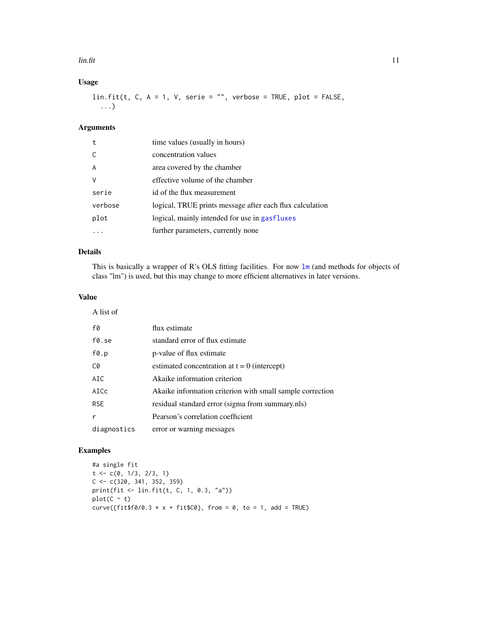#### <span id="page-10-0"></span> $\lim_{t \to \infty}$  11

#### Usage

 $lin.fit(t, C, A = 1, V, serie = "", verbose = TRUE, plot = FALSE,$ ...)

#### Arguments

| t              | time values (usually in hours)                           |
|----------------|----------------------------------------------------------|
| $\mathsf{C}$   | concentration values                                     |
| $\overline{A}$ | area covered by the chamber                              |
| $\vee$         | effective volume of the chamber                          |
| serie          | id of the flux measurement                               |
| verbose        | logical, TRUE prints message after each flux calculation |
| plot           | logical, mainly intended for use in gasfluxes            |
|                | further parameters, currently none                       |

#### Details

This is basically a wrapper of R's OLS fitting facilities. For now  $\text{lm}$  $\text{lm}$  $\text{lm}$  (and methods for objects of class "lm") is used, but this may change to more efficient alternatives in later versions.

#### Value

A list of

| f0              | flux estimate                                             |
|-----------------|-----------------------------------------------------------|
| f0.se           | standard error of flux estimate                           |
| $f\emptyset$ .p | p-value of flux estimate                                  |
| C0              | estimated concentration at $t = 0$ (intercept)            |
| AIC             | Akaike information criterion                              |
| AICc            | Akaike information criterion with small sample correction |
| <b>RSE</b>      | residual standard error (sigma from summary.nls)          |
| r               | Pearson's correlation coefficient                         |
| diagnostics     | error or warning messages                                 |

#### Examples

```
#a single fit
t < -c(0, 1/3, 2/3, 1)C \leq C \leq C(320, 341, 352, 359)print(fit <- lin.fit(t, C, 1, 0.3, "a"))
plot(C ~ t)curve({fit$f0/0.3 * x + \text{fit}$C0}, from = 0, to = 1, add = TRUE)
```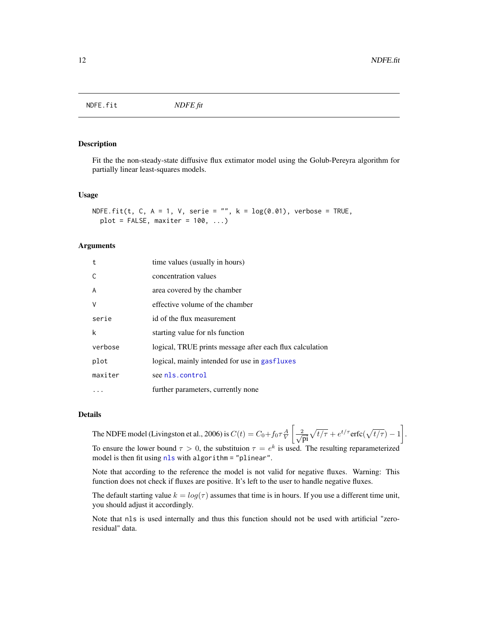<span id="page-11-1"></span><span id="page-11-0"></span>NDFE.fit *NDFE fit*

#### Description

Fit the the non-steady-state diffusive flux extimator model using the Golub-Pereyra algorithm for partially linear least-squares models.

#### Usage

```
NDFE.fit(t, C, A = 1, V, serie = "", k = \log(0.01), verbose = TRUE,
 plot = FALSE, maxiter = 100, ...)
```
#### **Arguments**

| t       | time values (usually in hours)                           |
|---------|----------------------------------------------------------|
| C       | concentration values                                     |
| A       | area covered by the chamber                              |
| V       | effective volume of the chamber                          |
| serie   | id of the flux measurement                               |
| k       | starting value for nls function                          |
| verbose | logical, TRUE prints message after each flux calculation |
| plot    | logical, mainly intended for use in gasfluxes            |
| maxiter | see nls.control                                          |
|         | further parameters, currently none                       |

#### Details

The NDFE model (Livingston et al., 2006) is  $C(t) = C_0 + f_0 \tau \frac{A}{V}$  $\left[\frac{2}{2}\right]$  $\frac{p}{\overline{p}i}\sqrt{t/\tau}+e^{t/\tau}\text{erfc}(\sqrt{t/\tau})-1\bigg].$ To ensure the lower bound  $\tau > 0$ , the substituion  $\tau = e^k$  is used. The resulting reparameterized model is then fit using [nls](#page-0-0) with algorithm = "plinear".

Note that according to the reference the model is not valid for negative fluxes. Warning: This function does not check if fluxes are positive. It's left to the user to handle negative fluxes.

The default starting value  $k = log(\tau)$  assumes that time is in hours. If you use a different time unit, you should adjust it accordingly.

Note that nls is used internally and thus this function should not be used with artificial "zeroresidual" data.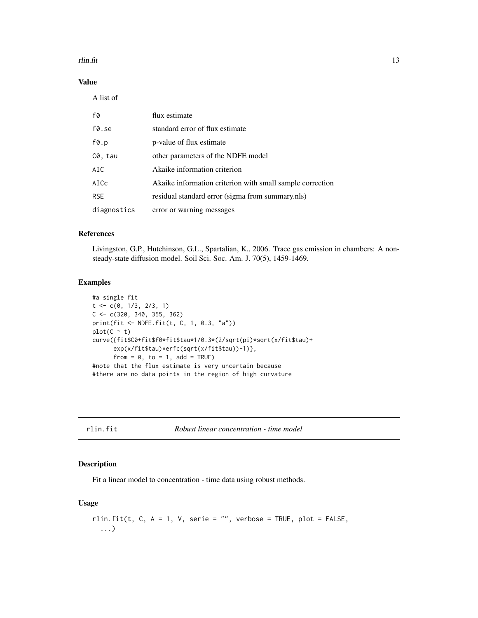#### <span id="page-12-0"></span>rlin.fit 13

#### Value

A list of

| f0              | flux estimate                                             |
|-----------------|-----------------------------------------------------------|
| f0.se           | standard error of flux estimate                           |
| $f\emptyset$ .p | p-value of flux estimate                                  |
| C0, tau         | other parameters of the NDFE model                        |
| AIC             | Akaike information criterion                              |
| AICc            | Akaike information criterion with small sample correction |
| <b>RSE</b>      | residual standard error (sigma from summary.nls)          |
| diagnostics     | error or warning messages                                 |

#### References

Livingston, G.P., Hutchinson, G.L., Spartalian, K., 2006. Trace gas emission in chambers: A nonsteady-state diffusion model. Soil Sci. Soc. Am. J. 70(5), 1459-1469.

#### Examples

```
#a single fit
t < -c(0, 1/3, 2/3, 1)C \leftarrow C(320, 340, 355, 362)print(fit <- NDFE.fit(t, C, 1, 0.3, "a"))
plot(C \sim t)curve({fit$C0+fit$f0*fit$tau*1/0.3*(2/sqrt(pi)*sqrt(x/fit$tau)+
      exp(x/fit$tau)*erfc(sqrt(x/fit$tau))-1)},
      from = 0, to = 1, add = TRUE)
#note that the flux estimate is very uncertain because
#there are no data points in the region of high curvature
```
<span id="page-12-1"></span>rlin.fit *Robust linear concentration - time model*

#### Description

Fit a linear model to concentration - time data using robust methods.

#### Usage

```
rlin.fit(t, C, A = 1, V, serie = "", verbose = TRUE, plot = FALSE,
  ...)
```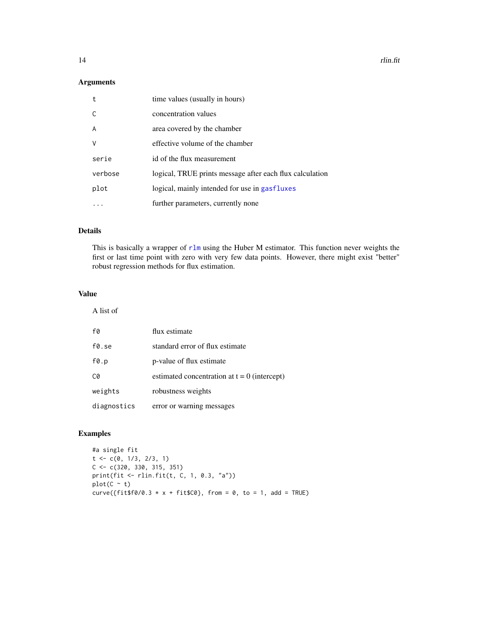#### <span id="page-13-0"></span>Arguments

| $\mathbf t$    | time values (usually in hours)                           |
|----------------|----------------------------------------------------------|
|                | concentration values                                     |
| $\overline{A}$ | area covered by the chamber                              |
| V              | effective volume of the chamber                          |
| serie          | id of the flux measurement                               |
| verbose        | logical, TRUE prints message after each flux calculation |
| plot           | logical, mainly intended for use in gasfluxes            |
|                | further parameters, currently none                       |

#### Details

This is basically a wrapper of [rlm](#page-0-0) using the Huber M estimator. This function never weights the first or last time point with zero with very few data points. However, there might exist "better" robust regression methods for flux estimation.

#### Value

A list of

| f0              | flux estimate                                  |
|-----------------|------------------------------------------------|
| f0.se           | standard error of flux estimate                |
| $f\emptyset$ .p | p-value of flux estimate                       |
| C0              | estimated concentration at $t = 0$ (intercept) |
| weights         | robustness weights                             |
| diagnostics     | error or warning messages                      |

#### Examples

#a single fit  $t < -c(0, 1/3, 2/3, 1)$  $C \leftarrow C(320, 330, 315, 351)$ print(fit <- rlin.fit(t, C, 1, 0.3, "a"))  $plot(C \sim t)$ curve({fit\$f0/0.3  $* x + \text{fit}$ \$C0}, from = 0, to = 1, add = TRUE)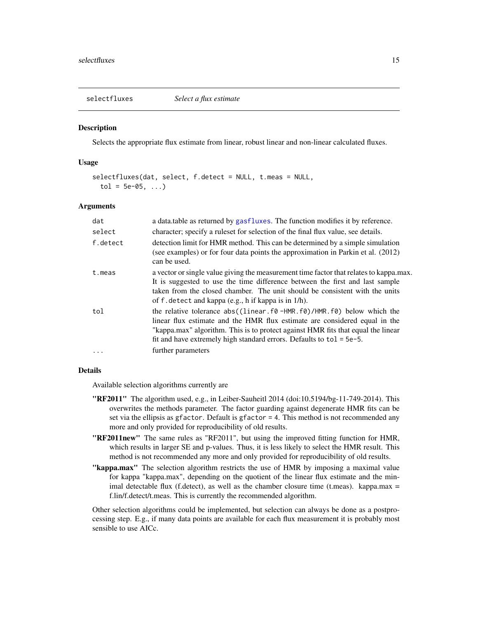<span id="page-14-1"></span><span id="page-14-0"></span>

#### Description

Selects the appropriate flux estimate from linear, robust linear and non-linear calculated fluxes.

#### Usage

```
selectfluxes(dat, select, f.detect = NULL, t.meas = NULL,
  tol = 5e-05, ...
```
#### Arguments

| dat      | a data.table as returned by gasfluxes. The function modifies it by reference.                                                                                                                                                                                                                                      |
|----------|--------------------------------------------------------------------------------------------------------------------------------------------------------------------------------------------------------------------------------------------------------------------------------------------------------------------|
| select   | character; specify a rules t for selection of the final flux value, see details.                                                                                                                                                                                                                                   |
| f.detect | detection limit for HMR method. This can be determined by a simple simulation<br>(see examples) or for four data points the approximation in Parkin et al. (2012)<br>can be used.                                                                                                                                  |
| t.meas   | a vector or single value giving the measurement time factor that relates to kappa.max.<br>It is suggested to use the time difference between the first and last sample<br>taken from the closed chamber. The unit should be consistent with the units<br>of f. detect and kappa (e.g., h if kappa is in 1/h).      |
| tol      | the relative tolerance abs((linear.f0-HMR.f0)/HMR.f0) below which the<br>linear flux estimate and the HMR flux estimate are considered equal in the<br>"kappa.max" algorithm. This is to protect against HMR fits that equal the linear<br>fit and have extremely high standard errors. Defaults to $tol = 5e-5$ . |
|          | further parameters                                                                                                                                                                                                                                                                                                 |

#### Details

Available selection algorithms currently are

- "RF2011" The algorithm used, e.g., in Leiber-Sauheitl 2014 (doi:10.5194/bg-11-749-2014). This overwrites the methods parameter. The factor guarding against degenerate HMR fits can be set via the ellipsis as gfactor. Default is gfactor = 4. This method is not recommended any more and only provided for reproducibility of old results.
- "RF2011new" The same rules as "RF2011", but using the improved fitting function for HMR, which results in larger SE and p-values. Thus, it is less likely to select the HMR result. This method is not recommended any more and only provided for reproducibility of old results.
- **"kappa.max"** The selection algorithm restricts the use of HMR by imposing a maximal value for kappa "kappa.max", depending on the quotient of the linear flux estimate and the minimal detectable flux (f.detect), as well as the chamber closure time (t.meas). kappa.max  $=$ f.lin/f.detect/t.meas. This is currently the recommended algorithm.

Other selection algorithms could be implemented, but selection can always be done as a postprocessing step. E.g., if many data points are available for each flux measurement it is probably most sensible to use AICc.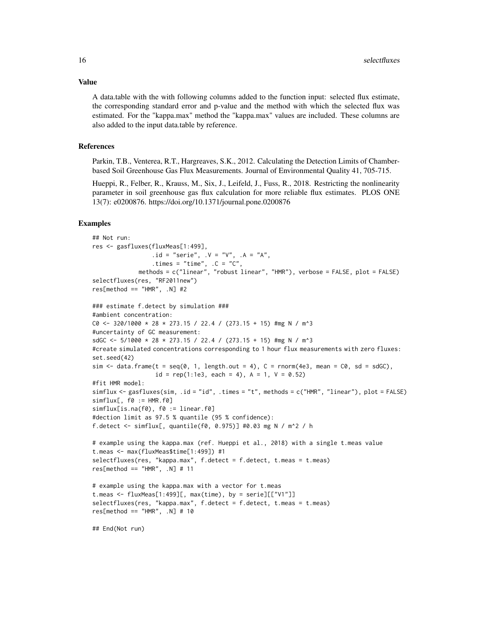A data.table with the with following columns added to the function input: selected flux estimate, the corresponding standard error and p-value and the method with which the selected flux was estimated. For the "kappa.max" method the "kappa.max" values are included. These columns are also added to the input data.table by reference.

#### References

Parkin, T.B., Venterea, R.T., Hargreaves, S.K., 2012. Calculating the Detection Limits of Chamberbased Soil Greenhouse Gas Flux Measurements. Journal of Environmental Quality 41, 705-715.

Hueppi, R., Felber, R., Krauss, M., Six, J., Leifeld, J., Fuss, R., 2018. Restricting the nonlinearity parameter in soil greenhouse gas flux calculation for more reliable flux estimates. PLOS ONE 13(7): e0200876. https://doi.org/10.1371/journal.pone.0200876

#### Examples

```
## Not run:
res <- gasfluxes(fluxMeas[1:499],
                 id = "serie", \t .V = "V", \t .A = "A",.times = "time", .C = "C",methods = c("linear", "robust linear", "HMR"), verbose = FALSE, plot = FALSE)
selectfluxes(res, "RF2011new")
res[method == "HMR", N] #2### estimate f.detect by simulation ###
#ambient concentration:
C0 <- 320/1000 \star 28 \star 273.15 / 22.4 / (273.15 + 15) #mg N / m^3
#uncertainty of GC measurement:
sdGC <- 5/1000 * 28 * 273.15 / 22.4 / (273.15 + 15) #mg N / m^3
#create simulated concentrations corresponding to 1 hour flux measurements with zero fluxes:
set.seed(42)
sim \le data.frame(t = seq(0, 1, length.out = 4), C = rnorm(4e3, mean = \text{C0}, sd = sdGC),
                  id = rep(1:1e3, each = 4), A = 1, V = 0.52)#fit HMR model:
simflux <- gasfluxes(sim, .id = "id", .times = "t", methods = c("HMR", "linear"), plot = FALSE)
simflux[, f0 := HMR.f0]
simflux[i s.na(f0), f0 := linear.f0]#dection limit as 97.5 % quantile (95 % confidence):
f.detect <- simflux[, quantile(f0, 0.975)] #0.03 mg N / m^2 / h
# example using the kappa.max (ref. Hueppi et al., 2018) with a single t.meas value
t.meas <- max(fluxMeas$time[1:499]) #1
selectfluxes(res, "kappa.max", f.detect = f.detect, t.meas = t.meas)
res[method == "HMR", N] # 11# example using the kappa.max with a vector for t.meas
t.meas <- fluxMeas[1:499][, max(time), by = serie][["V1"]]
selectfluxes(res, "kappa.max", f.detect = f.detect, t.meas = t.meas)
res[method == "HMR", N] # 10## End(Not run)
```
#### Value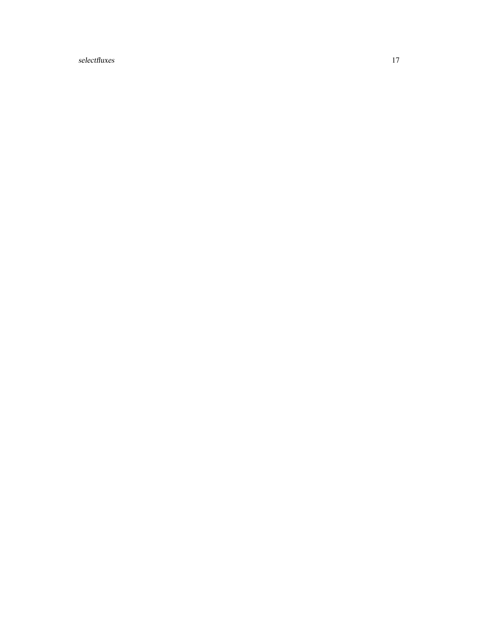select fluxes and the select fluxes of